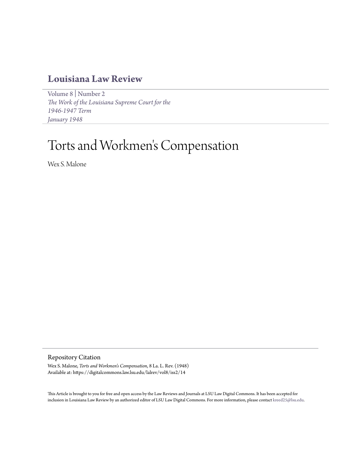# **[Louisiana Law Review](https://digitalcommons.law.lsu.edu/lalrev)**

[Volume 8](https://digitalcommons.law.lsu.edu/lalrev/vol8) | [Number 2](https://digitalcommons.law.lsu.edu/lalrev/vol8/iss2) *[The Work of the Louisiana Supreme Court for the](https://digitalcommons.law.lsu.edu/lalrev/vol8/iss2) [1946-1947 Term](https://digitalcommons.law.lsu.edu/lalrev/vol8/iss2) [January 1948](https://digitalcommons.law.lsu.edu/lalrev/vol8/iss2)*

# Torts and Workmen 's Compensation

Wex S. Malone

Repository Citation

Wex S. Malone, *Torts and Workmen's Compensation*, 8 La. L. Rev. (1948) Available at: https://digitalcommons.law.lsu.edu/lalrev/vol8/iss2/14

This Article is brought to you for free and open access by the Law Reviews and Journals at LSU Law Digital Commons. It has been accepted for inclusion in Louisiana Law Review by an authorized editor of LSU Law Digital Commons. For more information, please contact [kreed25@lsu.edu](mailto:kreed25@lsu.edu).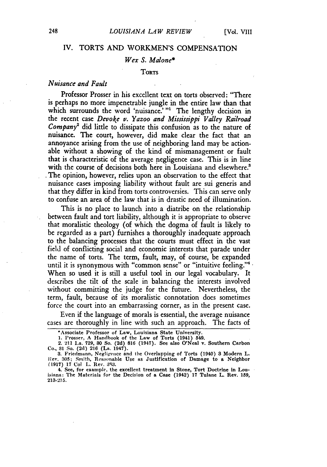## IV. TORTS AND WORKMEN'S COMPENSATION

# *Wex S. Malone\**

#### **TORTS**

# *Nuisance and Fault*

Professor Prosser in his excellent text on torts observed: "There is perhaps no more impenetrable jungle in the entire law than that which surrounds the word 'nuisance.' **"1** The lengthy decision in the recent case *Devoke* v. *Yazoo and Mississippi Valley Railroad Company*<sup>2</sup> did little to dissipate this confusion as to the nature of nuisance. The court, however, did make clear the fact that an annoyance arising from the use of neighboring land may be actionable without a showing of the kind of mismanagement or fault that is characteristic of the average negligence case. This is in line with the course of decisions both here in Louisiana and elsewhere.<sup>3</sup> The opinion, however, relies upon an observation to the effect that nuisance cases imposing liability without fault are sui generis and that they differ in kind from torts controversies. This can serve only to confuse an area of the law that is in drastic need of illumination.

This is no place to launch into a diatribe on the relationship between fault and tort liability, although it is appropriate to observe that moralistic theology (of which the dogma of fault is likely to be regarded as a part) furnishes a thoroughly inadequate approach to the balancing processes that the courts must effect in the vast field of conflicting social and economic interests that parade under the name of torts. The term, fault, may, of course, be expanded until it is synonymous with "common sense" or "intuitive feeling."<sup>4</sup> When so used it is still a useful tool in our legal vocabulary. It describes the tilt of the scale in balancing the interests involved without committing the judge for the future. Nevertheless, the term, fault, because of its moralistic connotation does sometimes force the court into an embarrassing corner, as in the present case.

Even if the language of morals is essential, the average nuisance cases are thoroughly in line with such an approach. The facts of

<sup>\*</sup>Associate **Professor of Law,** Louisiana **State University.**

**<sup>1.</sup> Prosser. A** Handbook **of the Law of Torts** (1941) **549. 2. 211 La. 729, 80 So. (2d) 816 (1947). See also O'Neal v. Southern Carbon Co., 31 So. (2d) 216 (La. 1947). 8. Friedmann,** Negligence **and the Overlapping of Torts (1940) 8 Modern L.**

**lRev. 305;** Smith, Reasonable **Use as Justification of Damage to** a **Neighbor (1917) 17 Col L. Rev. 393.**

**<sup>4.</sup> See, for example, the excellent treatment in Stone, Tort Doctrine in Louisiana: The Materials for the Decision of a Case (1942) 17 Tulane L. Rev. 159, 213-215.**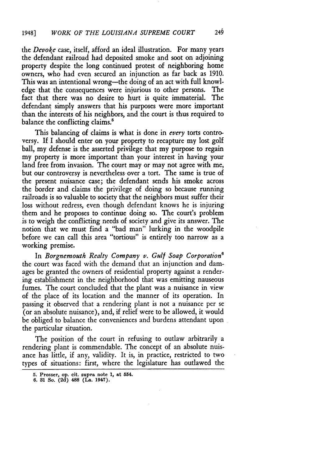*the Devoke* case, itself, afford an ideal illustration. For many years the defendant railroad had deposited smoke and soot on adjoining property despite the long continued protest of neighboring home owners, who had even secured an injunction as far back as 1910. This was an intentional wrong—the doing of an act with full knowl-<br>edge that the consequences were injurious to other persons. The edge that the consequences were injurious to other persons. fact that there was no desire to hurt is quite immaterial. The defendant simply answers that his purposes were more important than the interests of his neighbors, and the court is thus required to balance the conflicting claims.<sup>5</sup>

This balancing of claims is what is done in *every* torts controversy. If I should enter on your property to recapture my lost golf ball, my defense is the asserted privilege that my purpose to regain my property is more important than your interest in having your land free from invasion. The court may or may not agree with me, but our controversy is nevertheless over a tort. The same is true of the present nuisance case; the defendant sends his smoke across the border and claims the privilege of doing so because running railroads is so valuable to society that the neighbors must suffer their loss without redress, even though defendant knows he is injuring them and he proposes to continue doing so. The court's problem is to weigh the conflicting needs of society and give its answer. The notion that we must find a "bad man" lurking in the woodpile before we can call this area "tortious" is entirely too narrow as a working premise.

In *Borgnemouth Realty Company v. Gulf Soap Corporation6* the court was faced with the demand that an injunction and damages be granted the owners of residential property against a rendering establishment in the neighborhood that was emitting nauseous fumes. The court concluded that the plant was a nuisance in view of the place of its location and the manner of its operation. In passing it observed that a rendering plant is not a nuisance per se (or an absolute nuisance), and, if relief were to be allowed, it would be obliged to balance the conveniences and burdens attendant upon the particular situation.

The position of the court in refusing to outlaw arbitrarily a rendering plant is commendable. The concept of an absolute nuisance has little, if any, validity. It is, in practice, restricted to two types of situations: first, where the legislature has outlawed the

**<sup>5.</sup> Prosser, op. cit. supra note 1, at 554.**

**<sup>6. 31</sup> So. (2d) 488 (La. 1947).**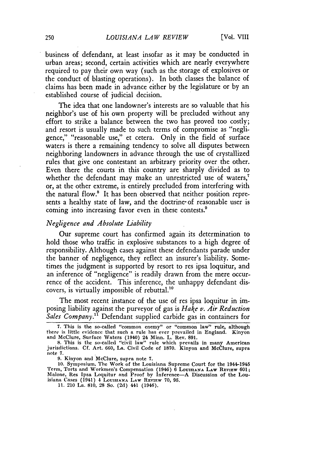business of defendant, at least insofar as it may be conducted in urban areas; second, certain activities which are nearly everywhere required to pay their own way (such as the storage of explosives or the conduct of blasting operations). In both classes the balance of claims has been made in advance either by the legislature or by an established course of judicial decision.

The idea that one landowner's interests are so valuable that his neighbor's use of his own property will be precluded without any effort to strike a balance between the two has proved too costly; and resort is usually made to such terms of compromise as "negligence," "reasonable use," et cetera. Only in the field of surface waters is there a remaining tendency to solve all disputes between neighboring landowners in advance through the use of crystallized rules that give one contestant an arbitrary priority over the other. Even there the courts in this country are sharply divided as to whether the defendant may make an unrestricted use of waters,<sup>7</sup> or, at the other extreme, is entirely precluded from interfering with the natural flow.' It has been observed that neither position represents a healthy state of law, and the doctrine of reasonable user is coming into increasing favor even in these contests.'

### *Negligence and Absolute Liability*

Our supreme court has confirmed again its determination to hold those who traffic in explosive substances to a high degree of responsibility. Although cases against these defendants parade under the banner of negligence, they reflect an insurer's liability. Sometimes the judgment is supported by resort to res ipsa loquitur, and an inference of "negligence" is readily drawn from the mere occurrence of the accident. This inference, the unhappy defendant discovers, is virtually impossible of rebuttal.<sup>10</sup>

The most recent instance of the use of res ipsa loquitur in imposing liability against the purveyor of gas is *Hake v. Air Reduction Sales Company.1* Defendant supplied carbide gas in containers for

**<sup>7.</sup>** This is the so-called "common enemy" or "common law" rule, although there is little evidence that such a rule has ever prevailed in England. Kinyon and McClure, Surface Waters (1940) 24 Minn. L. Rev. 891.

<sup>8.</sup> This is the so-called "civil law" rule which prevails in many American jurisdictions. **Cf.** Art. 660, La. Civil Code of **1870.** Kinyon and McClure, supra note **7.**

**<sup>9.</sup>** Kinyon and McClure, supra note **7.**

<sup>10.</sup> Symposium, The Work of the Louisiana Supreme Court for the 1944-1945 Term, Torts and Workmen's Compensation (1946) 6 **LOUISIANA LAw** REVIEW 601; Malone, Res Ipsa Loquitur and Proof by Inference-A Discussion of the Louisiana Cases (1941) 4 **LOUIsIANA LAW** REVIEW **70, 95.**

**<sup>11.</sup>** 210 La. **810, 28** So. **(2d)** 441 (1946).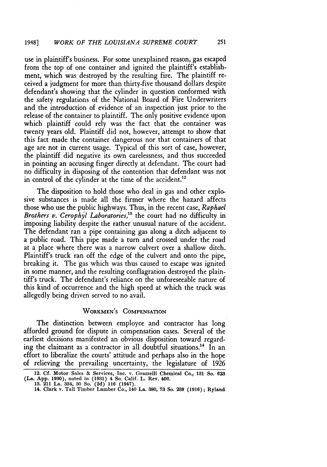use in plaintiff's business. For some unexplained reason, gas escaped from the top of one container and ignited the plaintiff's establishment, which was destroyed by the resulting fire. The plaintiff received a judgment for more than thirty-five thousand dollars despite defendant's showing that the cylinder in question conformed with the safety regulations of the National Board of Fire Underwriters and the introduction of evidence of an inspection just prior to the release of the container to plaintiff. The only positive evidence upon which plaintiff could rely was the fact that the container was twenty years old. Plaintiff did not, however, attempt to show that this fact made the container dangerous nor that containers of that age are not in current usage. Typical of this sort of case, however, the plaintiff did negative its own carelessness, and thus succeeded in pointing an accusing finger directly at defendant. The court had no difficulty in disposing of the contention that defendant was not in control of the cylinder at the time of the accident.<sup>12</sup>

The disposition to hold those who deal in gas and other explosive substances is made all the firmer where the hazard affects those who use the public highways. Thus, in the recent case, *Raphael Brothers v. Cerophyl Laboratories,"* the court had no difficulty in imposing liability despite the rather unusual nature of the accident. The defendant ran a pipe containing gas along a ditch adjacent to a public road. This pipe made a turn and crossed under the road at a place where there was a narrow culvert over a shallow ditch. Plaintiff's truck ran off the edge of the culvert and onto the pipe, breaking it. The gas which was thus caused to escape was ignited in some manner, and the resulting conflagration destroyed the plaintiff's truck. The defendant's reliance on the unforeseeable nature of this kind of occurrence and the high speed at which the truck was allegedly being driven served to no avail.

# WORKMEN'S **COMPENSATION**

The distinction between employee and contractor has long afforded ground for dispute in compensation cases. Several of the earliest decisions manifested an obvious disposition toward regarding the claimant as a contractor in all doubtful situations.<sup>14</sup> In an effort to liberalize the courts' attitude and perhaps also in the hope of relieving the prevailing uncertainty, the legislature of 1926

**<sup>12.</sup> Cf.** Motor Sales **&** Services, **Inc. v. Grasselli** Chemical Co., **131 So. 623 (La. App. 1980),** noted **in (1931)** 4 **So. Calif. L.** Rev. **400. 13. 211 La. 354, 30 So. (2d) 116 (1947).**

**<sup>14.</sup> Clark v. Tall Timber Lumber Co., 140 La. 380, 73 So. 239 (1916); Ryland**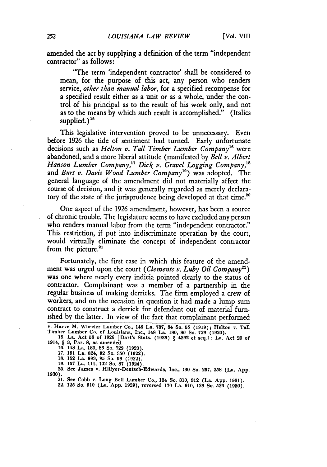amended the act by supplying a definition of the term "independent contractor" as follows:

"The term 'independent contractor' shall be considered to mean, for the purpose of this act, any person who renders service, *other than manual labor,* for a specified recompense for a specified result either as a unit or as a whole, under the control of his principal as to the result of his work only, and not as to the means by which such result is accomplished." (Italics supplied. $)^{15}$ 

This legislative intervention proved to be unnecessary. Even before 1926 the tide of sentiment had turned. Early unfortunate decisions such as *Helton v. Tall Timber Lumber Company"8* were abandoned, and a more liberal attitude (manifested **by** *Bell v. Albert Hanson Lumber Company," Dick v. Gravel Logging Company,8* and *Burt v. Davis Wood Lumber Company*<sup>19</sup>) was adopted. The general language of the amendment did not materially affect the course of decision, and it was generally regarded as merely declaratory of the state of the jurisprudence being developed at that time.<sup>26</sup>

One aspect of the 1926 amendment, however, has been a source of chronic trouble. The legislature seems to have excluded any person who renders manual labor from the term "independent contractor." This restriction, if put into indiscriminate operation **by** the court, would virtually eliminate the concept of independent contractor from the picture.<sup>21</sup>

Fortunately, the first case in which this feature of the amendment was urged upon the court *(Clements v. Luby Oil Company22)* was one where nearly every indicia pointed clearly to the status of contractor. Complainant was a member of a partnership in the regular business of making derricks. The firm employed a crew of workers, and on the occasion in question it had made a lump sum contract to construct a derrick for defendant out of material furnished by the latter. In view of the fact that complainant performed

**20. See James v. Hillyer-Deutsch-Edwards, Inc., 180 So. 257, 258 (La. App. 1930).**

**21. See** Cobb v. Long Bell Lumber Co., 134 So. **310, 812** (La. **App. 1981).**

22. **125 So. 510 (La. App. 1929),** reversed **170 La. 910, 129 So. 526 (1930).**

**v. Harve M. Wheeler Lumber Co., 146 La. 787, 84 So. 55 (1919); Helton v. Tal Timber Lumber Co. of Louisiana, Inc., 148 La. 180, 86 So. 729 (1920). 15. La. Act 58 of 1926 [Dart's Stats. (1939)** § **4392 et seq.] ; La. Act 20 of**

**<sup>1914,</sup>** § **3, Par. 8, as amended. 16. 148 La. 180, 86 So. 729 (1920).**

**<sup>17. 151</sup> La. 824, 92 So. 350 (1922). 18. 152 La. 993, 95 So. 99 (1922).**

**<sup>19. 157</sup> La. 111, 102 So. 87 (1924).**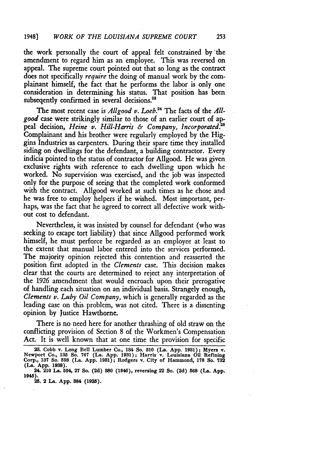the work personally the court of appeal felt constrained by 'the amendment to regard him as an employee. This was reversed on appeal. The supreme court pointed out that so long as the contract does not specifically *require* the doing of manual work **by** the complainant himself, the fact that he performs the labor is only one consideration in determining his status. That position has been subseqently confirmed in several decisions.<sup>28</sup>

The most recent case is *Allgood v. Loeb*.<sup>24</sup> The facts of the *Allgood* case were strikingly similar to those of an earlier court of appeal decision, *Heine v. Hill-Harris & Company*, *Incorporated.*<sup>25</sup> Complainant and his brother were regularly employed by the Higgins Industries as carpenters. During their spare time they installed siding on dwellings for the defendant, a building contractor. Every indicia pointed to the status of contractor for Allgood. He was given exclusive rights with reference to each dwelling upon which he worked. No supervision was exercised, and the job was inspected only for the purpose of seeing that the completed work conformed with the contract. Allgood worked at such times as he chose and he was free to employ helpers if he wished. Most important, per- haps, was the fact that he agreed to correct all defective work without cost to defendant.

Nevertheless, it was insisted by counsel for defendant (who was seeking to escape tort liability) that since Allgood performed work himself, he must perforce be regarded as an employee at least to the extent that manual labor entered into the services performed. The majority opinion rejected this contention and reasserted the position first adopted in the *Clements* case. This decision makes clear that the courts are determined to reject any interpretation of the 1926 amendment that would encroach upon their prerogative of handling each situation on an individual basis. Strangely enough, *Clements v. Luby Oil Company,* which is generally regarded as the leading case on this problem, was not cited. There is a dissenting opinion by Justice Hawthorne.

There is no need here for another thrashing of old straw on the conflicting provision of Section 8 of the Workmen's Compensation Act. It is well known that at one time the provision for specific

**25. 2 La. App. 884 (1925).**

<sup>23.</sup> Cobb v. Long Bell Lumber Co., 134 So. 310 (La. App. 1931); Myers v. Newport Co., 135 So. 767 (La. App. 1931); Harris v. Louisiana Oil Refining Corp., 137 So. 598 (La. App. 1931); Rodgers v. City of Hammond, 178 So. 732 **(La. App. 1938).**

**<sup>24. 210</sup> La. 594, 27 So. (2d) 880 (1946), reversing 22 So. (2d) 568 (La. App. 1945).**